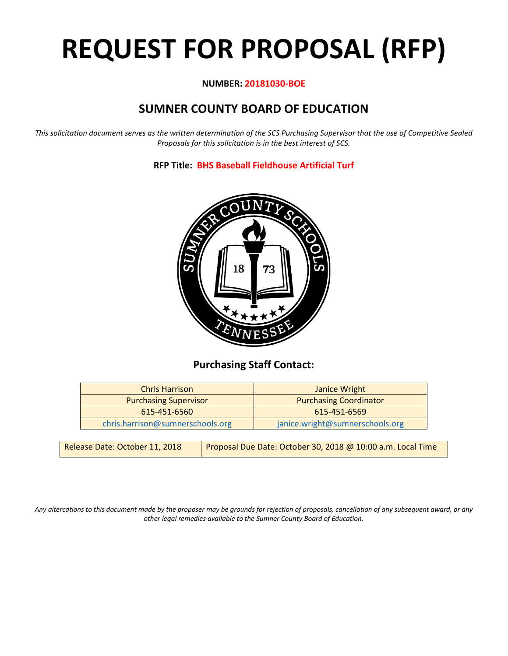# **REQUEST FOR PROPOSAL (RFP)**

# **NUMBER: 20181030-BOE**

# **SUMNER COUNTY BOARD OF EDUCATION**

*This solicitation document serves as the written determination of the SCS Purchasing Supervisor that the use of Competitive Sealed Proposals for this solicitation is in the best interest of SCS.*

**RFP Title: BHS Baseball Fieldhouse Artificial Turf**



# **Purchasing Staff Contact:**

| <b>Chris Harrison</b>            | Janice Wright                   |
|----------------------------------|---------------------------------|
| <b>Purchasing Supervisor</b>     | <b>Purchasing Coordinator</b>   |
| 615-451-6560                     | 615-451-6569                    |
| chris.harrison@sumnerschools.org | janice.wright@sumnerschools.org |

*Any altercations to this document made by the proposer may be grounds for rejection of proposals, cancellation of any subsequent award, or any other legal remedies available to the Sumner County Board of Education.*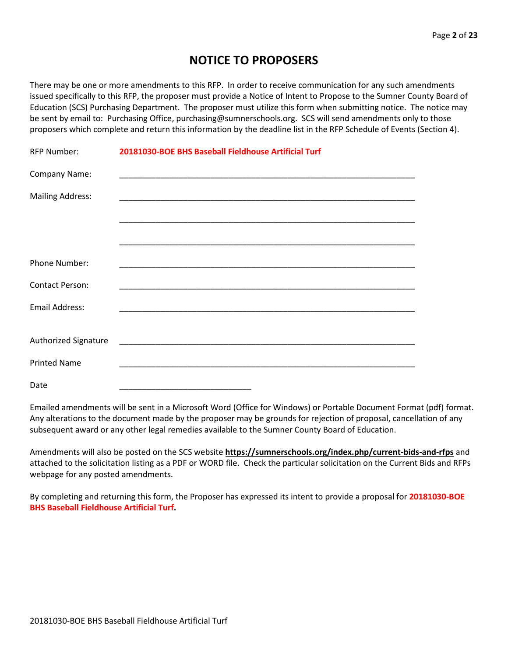# **NOTICE TO PROPOSERS**

There may be one or more amendments to this RFP. In order to receive communication for any such amendments issued specifically to this RFP, the proposer must provide a Notice of Intent to Propose to the Sumner County Board of Education (SCS) Purchasing Department. The proposer must utilize this form when submitting notice. The notice may be sent by email to: Purchasing Office, purchasing@sumnerschools.org. SCS will send amendments only to those proposers which complete and return this information by the deadline list in the RFP Schedule of Events (Section 4).

| <b>RFP Number:</b>      | 20181030-BOE BHS Baseball Fieldhouse Artificial Turf |  |
|-------------------------|------------------------------------------------------|--|
| Company Name:           |                                                      |  |
| <b>Mailing Address:</b> |                                                      |  |
|                         |                                                      |  |
|                         |                                                      |  |
| <b>Phone Number:</b>    |                                                      |  |
| <b>Contact Person:</b>  |                                                      |  |
| <b>Email Address:</b>   |                                                      |  |
|                         |                                                      |  |
| Authorized Signature    |                                                      |  |
| <b>Printed Name</b>     |                                                      |  |
| Date                    |                                                      |  |

Emailed amendments will be sent in a Microsoft Word (Office for Windows) or Portable Document Format (pdf) format. Any alterations to the document made by the proposer may be grounds for rejection of proposal, cancellation of any subsequent award or any other legal remedies available to the Sumner County Board of Education.

Amendments will also be posted on the SCS website **https://sumnerschools.org/index.php/current-bids-and-rfps** and attached to the solicitation listing as a PDF or WORD file. Check the particular solicitation on the Current Bids and RFPs webpage for any posted amendments.

By completing and returning this form, the Proposer has expressed its intent to provide a proposal for **20181030-BOE BHS Baseball Fieldhouse Artificial Turf.**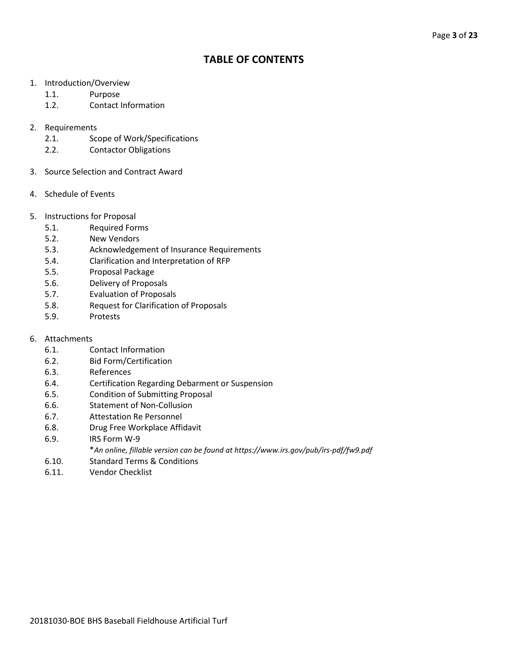# **TABLE OF CONTENTS**

- 1. Introduction/Overview
	- 1.1. Purpose
	- 1.2. Contact Information
- 2. Requirements
	- 2.1. Scope of Work/Specifications
	- 2.2. Contactor Obligations
- 3. Source Selection and Contract Award
- 4. Schedule of Events
- 5. Instructions for Proposal
	- 5.1. Required Forms
	- 5.2. New Vendors
	- 5.3. Acknowledgement of Insurance Requirements
	- 5.4. Clarification and Interpretation of RFP
	- 5.5. Proposal Package
	- 5.6. Delivery of Proposals
	- 5.7. Evaluation of Proposals
	- 5.8. Request for Clarification of Proposals
	- 5.9. Protests
- 6. Attachments
	- 6.1. Contact Information
	- 6.2. Bid Form/Certification
	- 6.3. References
	- 6.4. Certification Regarding Debarment or Suspension
	- 6.5. Condition of Submitting Proposal
	- 6.6. Statement of Non-Collusion
	- 6.7. Attestation Re Personnel
	- 6.8. Drug Free Workplace Affidavit
	- 6.9. IRS Form W-9
		- \**An online, fillable version can be found at https://www.irs.gov/pub/irs-pdf/fw9.pdf*
	- 6.10. Standard Terms & Conditions
	- 6.11. Vendor Checklist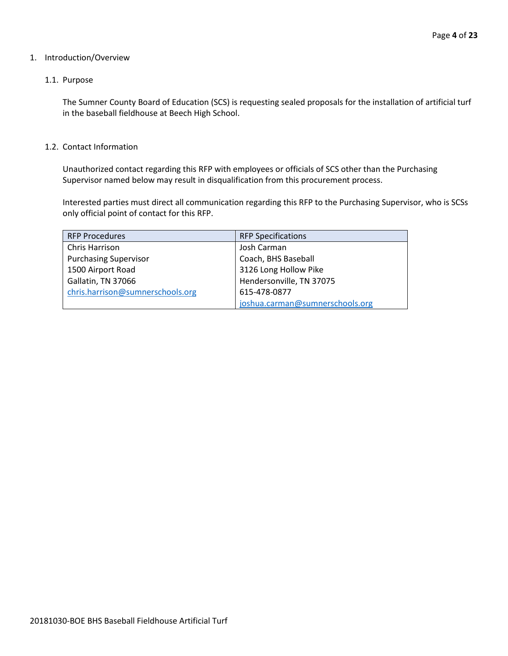#### 1. Introduction/Overview

#### 1.1. Purpose

The Sumner County Board of Education (SCS) is requesting sealed proposals for the installation of artificial turf in the baseball fieldhouse at Beech High School.

#### 1.2. Contact Information

Unauthorized contact regarding this RFP with employees or officials of SCS other than the Purchasing Supervisor named below may result in disqualification from this procurement process.

Interested parties must direct all communication regarding this RFP to the Purchasing Supervisor, who is SCSs only official point of contact for this RFP.

| <b>RFP Procedures</b>            | <b>RFP Specifications</b>       |
|----------------------------------|---------------------------------|
| Chris Harrison                   | Josh Carman                     |
| <b>Purchasing Supervisor</b>     | Coach, BHS Baseball             |
| 1500 Airport Road                | 3126 Long Hollow Pike           |
| Gallatin, TN 37066               | Hendersonville, TN 37075        |
| chris.harrison@sumnerschools.org | 615-478-0877                    |
|                                  | joshua.carman@sumnerschools.org |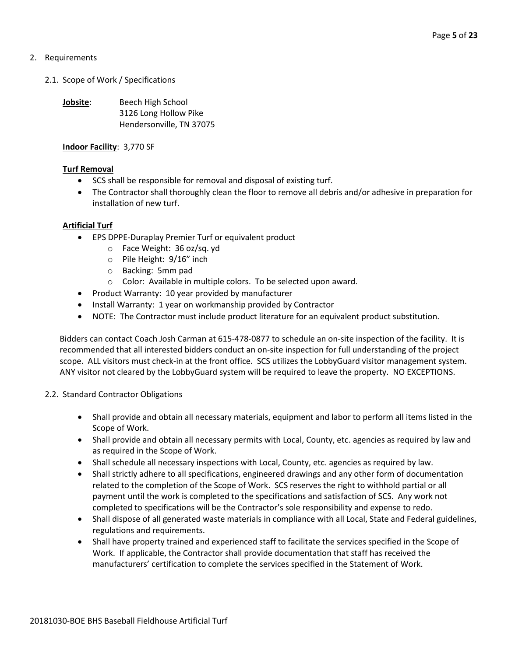# 2. Requirements

2.1. Scope of Work / Specifications

**Jobsite:** Beech High School 3126 Long Hollow Pike Hendersonville, TN 37075

# **Indoor Facility**: 3,770 SF

# **Turf Removal**

- SCS shall be responsible for removal and disposal of existing turf.
- The Contractor shall thoroughly clean the floor to remove all debris and/or adhesive in preparation for installation of new turf.

# **Artificial Turf**

- EPS DPPE-Duraplay Premier Turf or equivalent product
	- o Face Weight: 36 oz/sq. yd
	- o Pile Height: 9/16" inch
	- o Backing: 5mm pad
	- o Color: Available in multiple colors. To be selected upon award.
- Product Warranty: 10 year provided by manufacturer
- Install Warranty: 1 year on workmanship provided by Contractor
- NOTE: The Contractor must include product literature for an equivalent product substitution.

Bidders can contact Coach Josh Carman at 615-478-0877 to schedule an on-site inspection of the facility. It is recommended that all interested bidders conduct an on-site inspection for full understanding of the project scope. ALL visitors must check-in at the front office. SCS utilizes the LobbyGuard visitor management system. ANY visitor not cleared by the LobbyGuard system will be required to leave the property. NO EXCEPTIONS.

- 2.2. Standard Contractor Obligations
	- Shall provide and obtain all necessary materials, equipment and labor to perform all items listed in the Scope of Work.
	- Shall provide and obtain all necessary permits with Local, County, etc. agencies as required by law and as required in the Scope of Work.
	- Shall schedule all necessary inspections with Local, County, etc. agencies as required by law.
	- Shall strictly adhere to all specifications, engineered drawings and any other form of documentation related to the completion of the Scope of Work. SCS reserves the right to withhold partial or all payment until the work is completed to the specifications and satisfaction of SCS. Any work not completed to specifications will be the Contractor's sole responsibility and expense to redo.
	- Shall dispose of all generated waste materials in compliance with all Local, State and Federal guidelines, regulations and requirements.
	- Shall have property trained and experienced staff to facilitate the services specified in the Scope of Work. If applicable, the Contractor shall provide documentation that staff has received the manufacturers' certification to complete the services specified in the Statement of Work.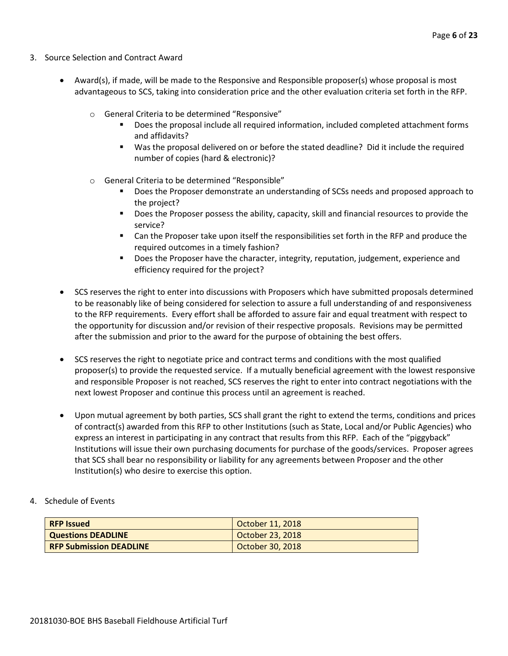- 3. Source Selection and Contract Award
	- Award(s), if made, will be made to the Responsive and Responsible proposer(s) whose proposal is most advantageous to SCS, taking into consideration price and the other evaluation criteria set forth in the RFP.
		- o General Criteria to be determined "Responsive"
			- Does the proposal include all required information, included completed attachment forms and affidavits?
			- Was the proposal delivered on or before the stated deadline? Did it include the required number of copies (hard & electronic)?
		- o General Criteria to be determined "Responsible"
			- Does the Proposer demonstrate an understanding of SCSs needs and proposed approach to the project?
			- **Does the Proposer possess the ability, capacity, skill and financial resources to provide the** service?
			- Can the Proposer take upon itself the responsibilities set forth in the RFP and produce the required outcomes in a timely fashion?
			- **Does the Proposer have the character, integrity, reputation, judgement, experience and** efficiency required for the project?
	- SCS reserves the right to enter into discussions with Proposers which have submitted proposals determined to be reasonably like of being considered for selection to assure a full understanding of and responsiveness to the RFP requirements. Every effort shall be afforded to assure fair and equal treatment with respect to the opportunity for discussion and/or revision of their respective proposals. Revisions may be permitted after the submission and prior to the award for the purpose of obtaining the best offers.
	- SCS reserves the right to negotiate price and contract terms and conditions with the most qualified proposer(s) to provide the requested service. If a mutually beneficial agreement with the lowest responsive and responsible Proposer is not reached, SCS reserves the right to enter into contract negotiations with the next lowest Proposer and continue this process until an agreement is reached.
	- Upon mutual agreement by both parties, SCS shall grant the right to extend the terms, conditions and prices of contract(s) awarded from this RFP to other Institutions (such as State, Local and/or Public Agencies) who express an interest in participating in any contract that results from this RFP. Each of the "piggyback" Institutions will issue their own purchasing documents for purchase of the goods/services. Proposer agrees that SCS shall bear no responsibility or liability for any agreements between Proposer and the other Institution(s) who desire to exercise this option.
- 4. Schedule of Events

| <b>RFP Issued</b>              | October 11, 2018 |
|--------------------------------|------------------|
| <b>Questions DEADLINE</b>      | October 23, 2018 |
| <b>RFP Submission DEADLINE</b> | October 30, 2018 |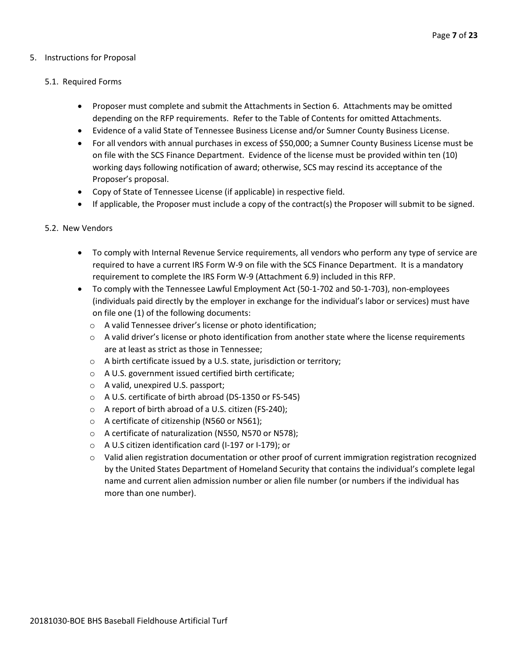# 5. Instructions for Proposal

#### 5.1. Required Forms

- Proposer must complete and submit the Attachments in Section 6. Attachments may be omitted depending on the RFP requirements. Refer to the Table of Contents for omitted Attachments.
- Evidence of a valid State of Tennessee Business License and/or Sumner County Business License.
- For all vendors with annual purchases in excess of \$50,000; a Sumner County Business License must be on file with the SCS Finance Department. Evidence of the license must be provided within ten (10) working days following notification of award; otherwise, SCS may rescind its acceptance of the Proposer's proposal.
- Copy of State of Tennessee License (if applicable) in respective field.
- If applicable, the Proposer must include a copy of the contract(s) the Proposer will submit to be signed.

#### 5.2. New Vendors

- To comply with Internal Revenue Service requirements, all vendors who perform any type of service are required to have a current IRS Form W-9 on file with the SCS Finance Department. It is a mandatory requirement to complete the IRS Form W-9 (Attachment 6.9) included in this RFP.
- To comply with the Tennessee Lawful Employment Act (50-1-702 and 50-1-703), non-employees (individuals paid directly by the employer in exchange for the individual's labor or services) must have on file one (1) of the following documents:
	- o A valid Tennessee driver's license or photo identification;
	- $\circ$  A valid driver's license or photo identification from another state where the license requirements are at least as strict as those in Tennessee;
	- o A birth certificate issued by a U.S. state, jurisdiction or territory;
	- o A U.S. government issued certified birth certificate;
	- o A valid, unexpired U.S. passport;
	- o A U.S. certificate of birth abroad (DS-1350 or FS-545)
	- o A report of birth abroad of a U.S. citizen (FS-240);
	- o A certificate of citizenship (N560 or N561);
	- o A certificate of naturalization (N550, N570 or N578);
	- o A U.S citizen identification card (I-197 or I-179); or
	- $\circ$  Valid alien registration documentation or other proof of current immigration registration recognized by the United States Department of Homeland Security that contains the individual's complete legal name and current alien admission number or alien file number (or numbers if the individual has more than one number).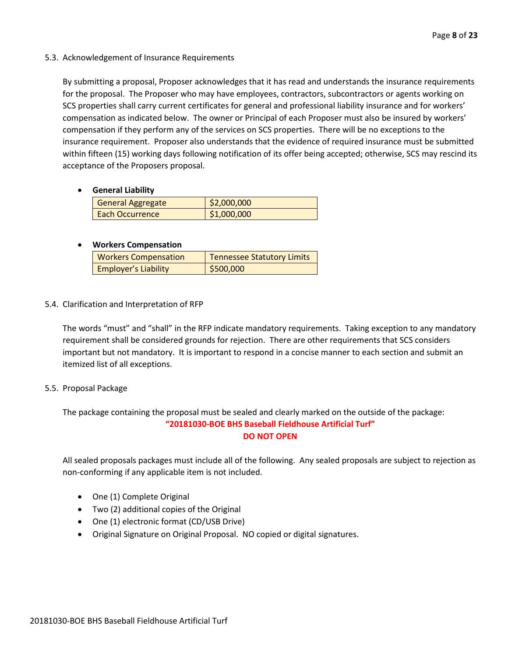# 5.3. Acknowledgement of Insurance Requirements

By submitting a proposal, Proposer acknowledges that it has read and understands the insurance requirements for the proposal. The Proposer who may have employees, contractors, subcontractors or agents working on SCS properties shall carry current certificates for general and professional liability insurance and for workers' compensation as indicated below. The owner or Principal of each Proposer must also be insured by workers' compensation if they perform any of the services on SCS properties. There will be no exceptions to the insurance requirement. Proposer also understands that the evidence of required insurance must be submitted within fifteen (15) working days following notification of its offer being accepted; otherwise, SCS may rescind its acceptance of the Proposers proposal.

# • **General Liability**

| <b>General Aggregate</b> | \$2,000,000 |
|--------------------------|-------------|
| Each Occurrence          | \$1,000,000 |

# • **Workers Compensation**

| <b>Workers Compensation</b> | <b>Tennessee Statutory Limits</b> |
|-----------------------------|-----------------------------------|
| <b>Employer's Liability</b> | \$500,000                         |

# 5.4. Clarification and Interpretation of RFP

The words "must" and "shall" in the RFP indicate mandatory requirements. Taking exception to any mandatory requirement shall be considered grounds for rejection. There are other requirements that SCS considers important but not mandatory. It is important to respond in a concise manner to each section and submit an itemized list of all exceptions.

# 5.5. Proposal Package

The package containing the proposal must be sealed and clearly marked on the outside of the package: **"20181030-BOE BHS Baseball Fieldhouse Artificial Turf" DO NOT OPEN**

All sealed proposals packages must include all of the following. Any sealed proposals are subject to rejection as non-conforming if any applicable item is not included.

- One (1) Complete Original
- Two (2) additional copies of the Original
- One (1) electronic format (CD/USB Drive)
- Original Signature on Original Proposal. NO copied or digital signatures.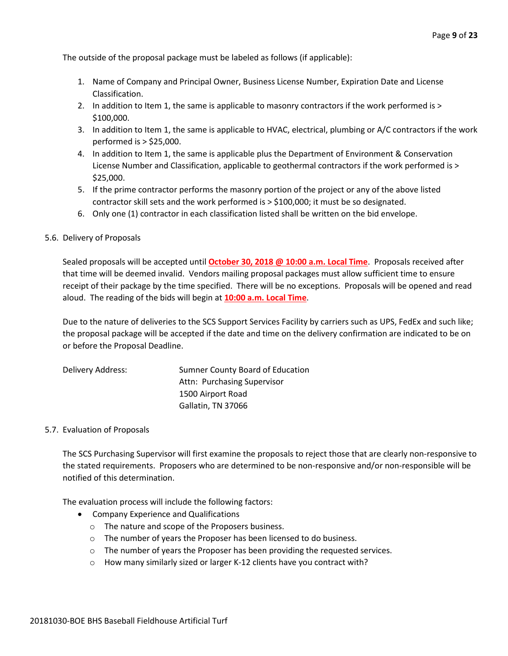The outside of the proposal package must be labeled as follows (if applicable):

- 1. Name of Company and Principal Owner, Business License Number, Expiration Date and License Classification.
- 2. In addition to Item 1, the same is applicable to masonry contractors if the work performed is > \$100,000.
- 3. In addition to Item 1, the same is applicable to HVAC, electrical, plumbing or A/C contractors if the work performed is > \$25,000.
- 4. In addition to Item 1, the same is applicable plus the Department of Environment & Conservation License Number and Classification, applicable to geothermal contractors if the work performed is > \$25,000.
- 5. If the prime contractor performs the masonry portion of the project or any of the above listed contractor skill sets and the work performed is > \$100,000; it must be so designated.
- 6. Only one (1) contractor in each classification listed shall be written on the bid envelope.

#### 5.6. Delivery of Proposals

Sealed proposals will be accepted until **October 30, 2018 @ 10:00 a.m. Local Time**. Proposals received after that time will be deemed invalid. Vendors mailing proposal packages must allow sufficient time to ensure receipt of their package by the time specified. There will be no exceptions. Proposals will be opened and read aloud. The reading of the bids will begin at **10:00 a.m. Local Time**.

Due to the nature of deliveries to the SCS Support Services Facility by carriers such as UPS, FedEx and such like; the proposal package will be accepted if the date and time on the delivery confirmation are indicated to be on or before the Proposal Deadline.

| Delivery Address: | Sumner County Board of Education |
|-------------------|----------------------------------|
|                   | Attn: Purchasing Supervisor      |
|                   | 1500 Airport Road                |
|                   | Gallatin, TN 37066               |

#### 5.7. Evaluation of Proposals

The SCS Purchasing Supervisor will first examine the proposals to reject those that are clearly non-responsive to the stated requirements. Proposers who are determined to be non-responsive and/or non-responsible will be notified of this determination.

The evaluation process will include the following factors:

- Company Experience and Qualifications
	- o The nature and scope of the Proposers business.
	- o The number of years the Proposer has been licensed to do business.
	- $\circ$  The number of years the Proposer has been providing the requested services.
	- o How many similarly sized or larger K-12 clients have you contract with?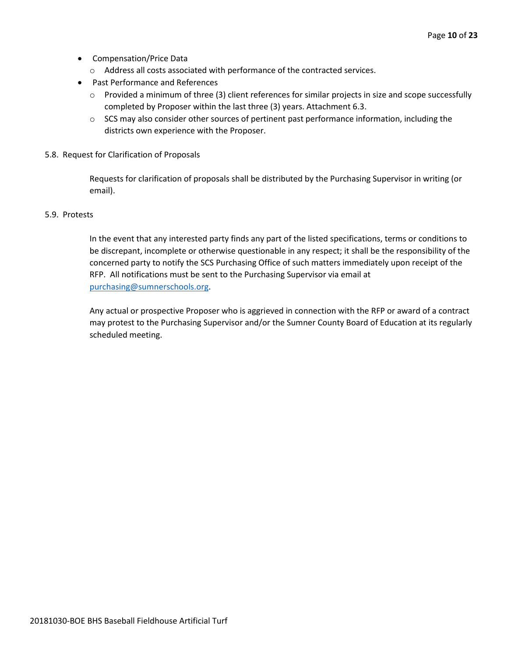- Compensation/Price Data
	- o Address all costs associated with performance of the contracted services.
- Past Performance and References
	- o Provided a minimum of three (3) client references for similar projects in size and scope successfully completed by Proposer within the last three (3) years. Attachment 6.3.
	- $\circ$  SCS may also consider other sources of pertinent past performance information, including the districts own experience with the Proposer.
- 5.8. Request for Clarification of Proposals

Requests for clarification of proposals shall be distributed by the Purchasing Supervisor in writing (or email).

#### 5.9. Protests

In the event that any interested party finds any part of the listed specifications, terms or conditions to be discrepant, incomplete or otherwise questionable in any respect; it shall be the responsibility of the concerned party to notify the SCS Purchasing Office of such matters immediately upon receipt of the RFP. All notifications must be sent to the Purchasing Supervisor via email at [purchasing@sumnerschools.org.](mailto:purchasing@sumnerschools.org)

Any actual or prospective Proposer who is aggrieved in connection with the RFP or award of a contract may protest to the Purchasing Supervisor and/or the Sumner County Board of Education at its regularly scheduled meeting.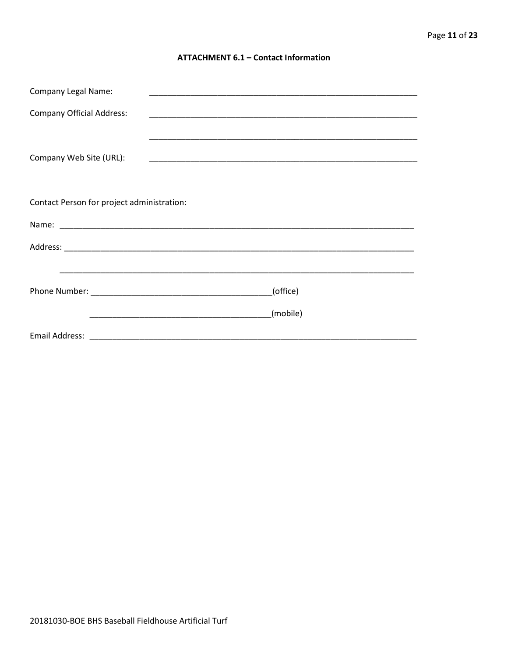#### **ATTACHMENT 6.1 - Contact Information**

| <b>Company Legal Name:</b>                 | <u> 1989 - Johann John Stoff, deutscher Stoffen und der Stoffen und der Stoffen und der Stoffen und der Stoffen u</u> |
|--------------------------------------------|-----------------------------------------------------------------------------------------------------------------------|
| <b>Company Official Address:</b>           |                                                                                                                       |
|                                            |                                                                                                                       |
| Company Web Site (URL):                    |                                                                                                                       |
|                                            |                                                                                                                       |
| Contact Person for project administration: |                                                                                                                       |
|                                            |                                                                                                                       |
|                                            |                                                                                                                       |
|                                            |                                                                                                                       |
|                                            | (office)                                                                                                              |
|                                            | (mobile)                                                                                                              |
|                                            |                                                                                                                       |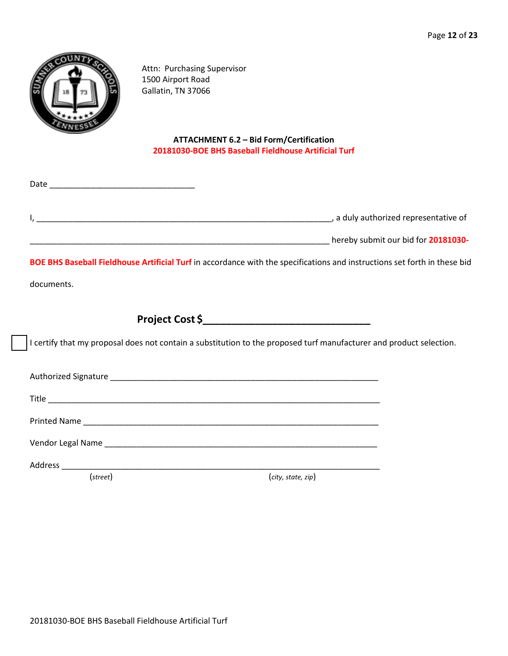

Attn: Purchasing Supervisor 1500 Airport Road Gallatin, TN 37066

# **ATTACHMENT 6.2 – Bid Form/Certification 20181030-BOE BHS Baseball Fieldhouse Artificial Turf**

| BOE BHS Baseball Fieldhouse Artificial Turf in accordance with the specifications and instructions set forth in these bid |  |
|---------------------------------------------------------------------------------------------------------------------------|--|
| documents.                                                                                                                |  |
|                                                                                                                           |  |
| I certify that my proposal does not contain a substitution to the proposed turf manufacturer and product selection.       |  |
|                                                                                                                           |  |
|                                                                                                                           |  |
|                                                                                                                           |  |
|                                                                                                                           |  |
| $(\text{street})$<br>(city, state, zip)                                                                                   |  |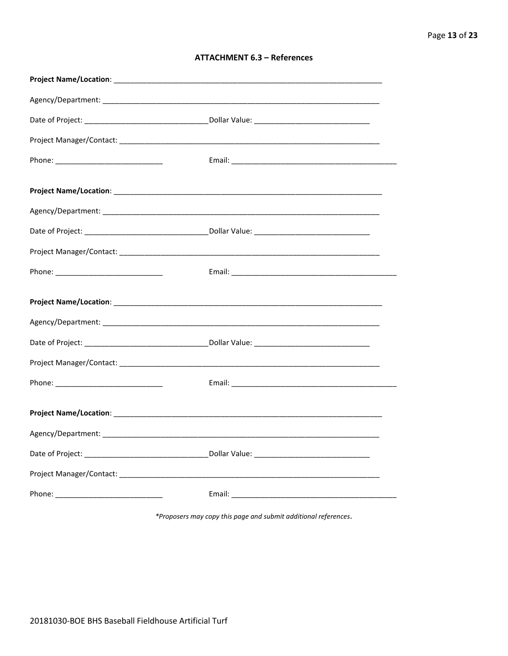| <b>ATTACHMENT 6.3 - References</b> |  |  |
|------------------------------------|--|--|
|------------------------------------|--|--|

\*Proposers may copy this page and submit additional references.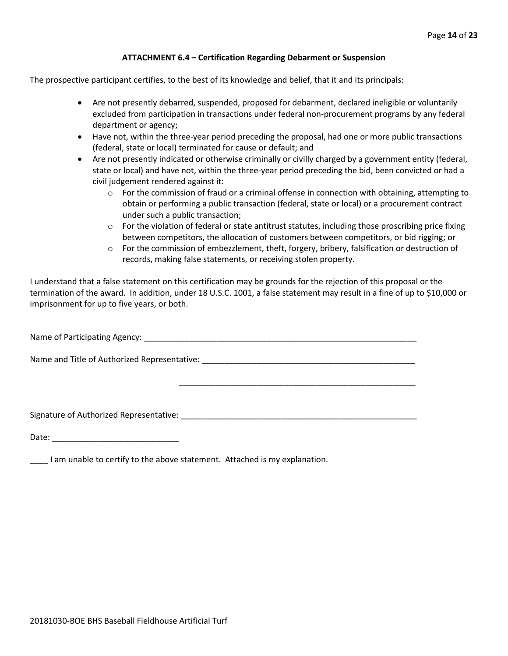#### **ATTACHMENT 6.4 – Certification Regarding Debarment or Suspension**

The prospective participant certifies, to the best of its knowledge and belief, that it and its principals:

- Are not presently debarred, suspended, proposed for debarment, declared ineligible or voluntarily excluded from participation in transactions under federal non-procurement programs by any federal department or agency;
- Have not, within the three-year period preceding the proposal, had one or more public transactions (federal, state or local) terminated for cause or default; and
- Are not presently indicated or otherwise criminally or civilly charged by a government entity (federal, state or local) and have not, within the three-year period preceding the bid, been convicted or had a civil judgement rendered against it:
	- $\circ$  For the commission of fraud or a criminal offense in connection with obtaining, attempting to obtain or performing a public transaction (federal, state or local) or a procurement contract under such a public transaction;
	- $\circ$  For the violation of federal or state antitrust statutes, including those proscribing price fixing between competitors, the allocation of customers between competitors, or bid rigging; or
	- o For the commission of embezzlement, theft, forgery, bribery, falsification or destruction of records, making false statements, or receiving stolen property.

\_\_\_\_\_\_\_\_\_\_\_\_\_\_\_\_\_\_\_\_\_\_\_\_\_\_\_\_\_\_\_\_\_\_\_\_\_\_\_\_\_\_\_\_\_\_\_\_\_\_\_\_

I understand that a false statement on this certification may be grounds for the rejection of this proposal or the termination of the award. In addition, under 18 U.S.C. 1001, a false statement may result in a fine of up to \$10,000 or imprisonment for up to five years, or both.

Name of Participating Agency: \_\_\_\_\_\_\_\_\_\_\_\_\_\_\_\_\_\_\_\_\_\_\_\_\_\_\_\_\_\_\_\_\_\_\_\_\_\_\_\_\_\_\_\_\_\_\_\_\_\_\_\_\_\_\_\_\_\_\_\_

Name and Title of Authorized Representative: \_\_\_\_\_\_\_\_\_\_\_\_\_\_\_\_\_\_\_\_\_\_\_\_\_\_\_\_\_\_\_\_\_\_\_\_\_\_\_\_\_\_\_\_\_\_\_

Signature of Authorized Representative: \_\_\_\_\_\_\_\_\_\_\_\_\_\_\_\_\_\_\_\_\_\_\_\_\_\_\_\_\_\_\_\_\_\_\_\_\_\_\_\_\_\_\_\_\_\_\_\_\_\_\_\_

Date: \_\_\_\_\_\_\_\_\_\_\_\_\_\_\_\_\_\_\_\_\_\_\_\_\_\_\_\_

\_\_\_\_ I am unable to certify to the above statement. Attached is my explanation.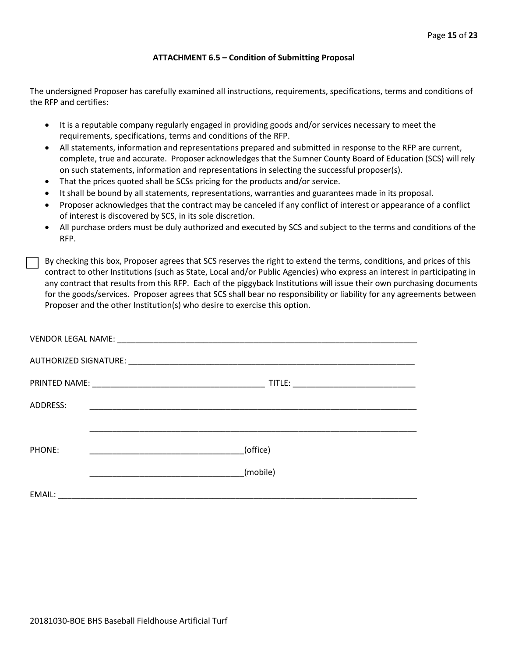#### **ATTACHMENT 6.5 – Condition of Submitting Proposal**

The undersigned Proposer has carefully examined all instructions, requirements, specifications, terms and conditions of the RFP and certifies:

- It is a reputable company regularly engaged in providing goods and/or services necessary to meet the requirements, specifications, terms and conditions of the RFP.
- All statements, information and representations prepared and submitted in response to the RFP are current, complete, true and accurate. Proposer acknowledges that the Sumner County Board of Education (SCS) will rely on such statements, information and representations in selecting the successful proposer(s).
- That the prices quoted shall be SCSs pricing for the products and/or service.
- It shall be bound by all statements, representations, warranties and guarantees made in its proposal.
- Proposer acknowledges that the contract may be canceled if any conflict of interest or appearance of a conflict of interest is discovered by SCS, in its sole discretion.
- All purchase orders must be duly authorized and executed by SCS and subject to the terms and conditions of the RFP.

By checking this box, Proposer agrees that SCS reserves the right to extend the terms, conditions, and prices of this contract to other Institutions (such as State, Local and/or Public Agencies) who express an interest in participating in any contract that results from this RFP. Each of the piggyback Institutions will issue their own purchasing documents for the goods/services. Proposer agrees that SCS shall bear no responsibility or liability for any agreements between Proposer and the other Institution(s) who desire to exercise this option.

| ADDRESS: | <u> 1989 - Johann John Stone, markin film yn y sefydlu yn y sy'n gwysiad y gan y gwysiad y gan y gynydd y gan y g</u> |
|----------|-----------------------------------------------------------------------------------------------------------------------|
|          |                                                                                                                       |
| PHONE:   | (office)                                                                                                              |
|          | (mobile)                                                                                                              |
| EMAIL:   |                                                                                                                       |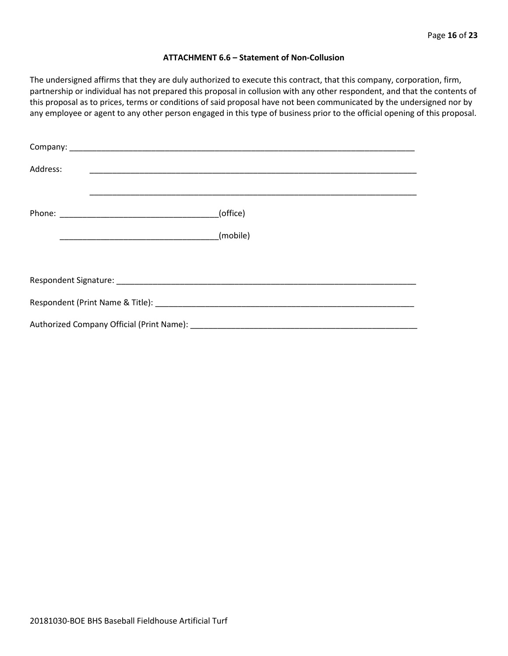#### **ATTACHMENT 6.6 – Statement of Non-Collusion**

The undersigned affirms that they are duly authorized to execute this contract, that this company, corporation, firm, partnership or individual has not prepared this proposal in collusion with any other respondent, and that the contents of this proposal as to prices, terms or conditions of said proposal have not been communicated by the undersigned nor by any employee or agent to any other person engaged in this type of business prior to the official opening of this proposal.

| Address: |          |  |  |  |  |
|----------|----------|--|--|--|--|
|          | (office) |  |  |  |  |
|          | (mobile) |  |  |  |  |
|          |          |  |  |  |  |
|          |          |  |  |  |  |
|          |          |  |  |  |  |
|          |          |  |  |  |  |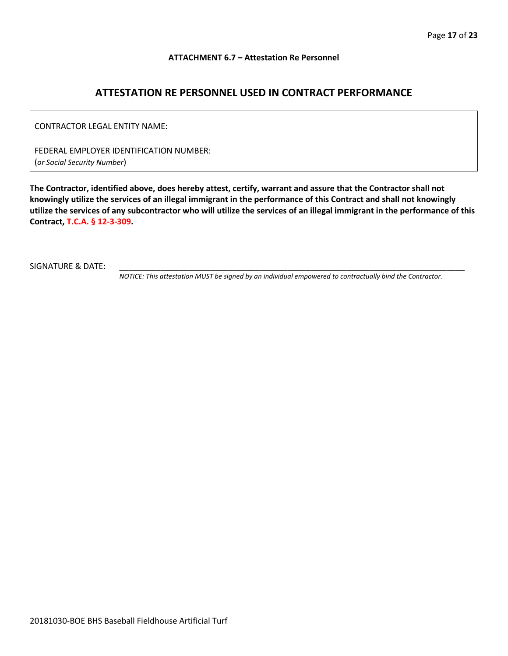#### **ATTACHMENT 6.7 – Attestation Re Personnel**

# **ATTESTATION RE PERSONNEL USED IN CONTRACT PERFORMANCE**

| CONTRACTOR LEGAL ENTITY NAME:                                          |  |
|------------------------------------------------------------------------|--|
| FEDERAL EMPLOYER IDENTIFICATION NUMBER:<br>(or Social Security Number) |  |

**The Contractor, identified above, does hereby attest, certify, warrant and assure that the Contractor shall not knowingly utilize the services of an illegal immigrant in the performance of this Contract and shall not knowingly utilize the services of any subcontractor who will utilize the services of an illegal immigrant in the performance of this Contract, T.C.A. § 12-3-309.**

SIGNATURE & DATE:

*NOTICE: This attestation MUST be signed by an individual empowered to contractually bind the Contractor.*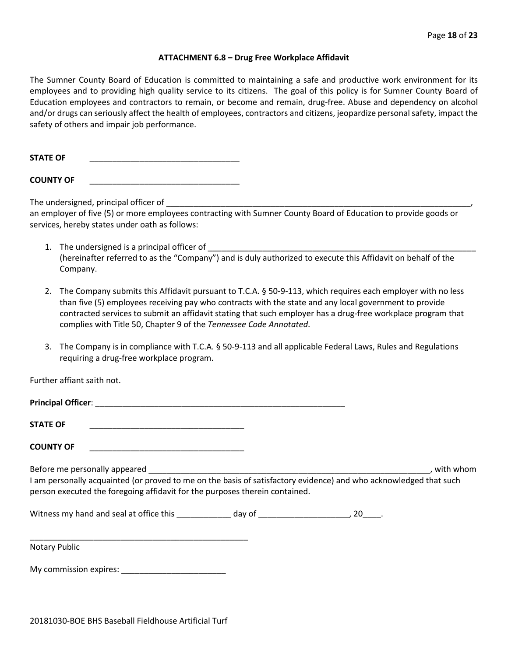#### **ATTACHMENT 6.8 – Drug Free Workplace Affidavit**

The Sumner County Board of Education is committed to maintaining a safe and productive work environment for its employees and to providing high quality service to its citizens. The goal of this policy is for Sumner County Board of Education employees and contractors to remain, or become and remain, drug-free. Abuse and dependency on alcohol and/or drugs can seriously affect the health of employees, contractors and citizens, jeopardize personal safety, impact the safety of others and impair job performance.

**STATE OF** \_\_\_\_\_\_\_\_\_\_\_\_\_\_\_\_\_\_\_\_\_\_\_\_\_\_\_\_\_\_\_\_\_

**COUNTY OF** \_\_\_\_\_\_\_\_\_\_\_\_\_\_\_\_\_\_\_\_\_\_\_\_\_\_\_\_\_\_\_\_\_

The undersigned, principal officer of

an employer of five (5) or more employees contracting with Sumner County Board of Education to provide goods or services, hereby states under oath as follows:

- 1. The undersigned is a principal officer of (hereinafter referred to as the "Company") and is duly authorized to execute this Affidavit on behalf of the Company.
- 2. The Company submits this Affidavit pursuant to T.C.A. § 50-9-113, which requires each employer with no less than five (5) employees receiving pay who contracts with the state and any local government to provide contracted services to submit an affidavit stating that such employer has a drug-free workplace program that complies with Title 50, Chapter 9 of the *Tennessee Code Annotated*.
- 3. The Company is in compliance with T.C.A. § 50-9-113 and all applicable Federal Laws, Rules and Regulations requiring a drug-free workplace program.

Further affiant saith not.

| <b>STATE OF</b>                                                                                                                                                                                  |  |             |
|--------------------------------------------------------------------------------------------------------------------------------------------------------------------------------------------------|--|-------------|
| <b>COUNTY OF</b>                                                                                                                                                                                 |  |             |
| I am personally acquainted (or proved to me on the basis of satisfactory evidence) and who acknowledged that such<br>person executed the foregoing affidavit for the purposes therein contained. |  | . with whom |
|                                                                                                                                                                                                  |  |             |
| <b>Notary Public</b>                                                                                                                                                                             |  |             |

My commission expires: \_\_\_\_\_\_\_\_\_\_\_\_\_\_\_\_\_\_\_\_\_\_\_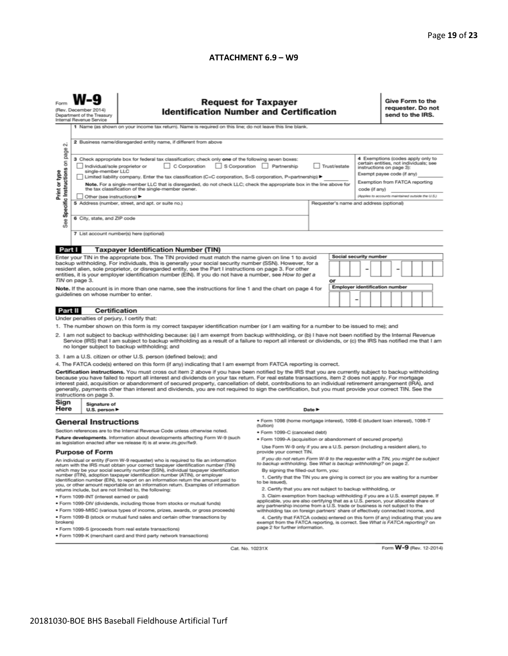#### **ATTACHMENT 6.9 – W9**

|                                                                                                                                                                                                                                                                                                                                                                                                                                                                                                                                                                                                                                                          | <b>Request for Taxpayer</b><br><b>Identification Number and Certification</b><br>(Rev. December 2014)<br>Department of the Treasury<br>Internal Revenue Service<br>1 Name (as shown on your income tax return). Name is required on this line; do not leave this line blank. |                                                                                                                                                                                                                                                        |                                                                                                                                                                                              |        |  |  |                                                                                                                                    |                                                                    | Give Form to the<br>requester. Do not<br>send to the IRS. |  |  |  |  |
|----------------------------------------------------------------------------------------------------------------------------------------------------------------------------------------------------------------------------------------------------------------------------------------------------------------------------------------------------------------------------------------------------------------------------------------------------------------------------------------------------------------------------------------------------------------------------------------------------------------------------------------------------------|------------------------------------------------------------------------------------------------------------------------------------------------------------------------------------------------------------------------------------------------------------------------------|--------------------------------------------------------------------------------------------------------------------------------------------------------------------------------------------------------------------------------------------------------|----------------------------------------------------------------------------------------------------------------------------------------------------------------------------------------------|--------|--|--|------------------------------------------------------------------------------------------------------------------------------------|--------------------------------------------------------------------|-----------------------------------------------------------|--|--|--|--|
| $\sim$<br>page                                                                                                                                                                                                                                                                                                                                                                                                                                                                                                                                                                                                                                           | 2 Business name/disregarded entity name, if different from above<br>4 Exemptions (codes apply only to<br>3 Check appropriate box for federal tax classification; check only one of the following seven boxes:                                                                |                                                                                                                                                                                                                                                        |                                                                                                                                                                                              |        |  |  |                                                                                                                                    |                                                                    |                                                           |  |  |  |  |
| Specific Instructions on                                                                                                                                                                                                                                                                                                                                                                                                                                                                                                                                                                                                                                 | C Corporation S Corporation Partnership<br>Trust/estate<br>Individual/sole proprietor or<br>single-member LLC<br>Limited liability company. Enter the tax classification (C=C corporation, S=S corporation, P=partnership) ▶                                                 |                                                                                                                                                                                                                                                        |                                                                                                                                                                                              |        |  |  | certain entities, not individuals; see<br>instructions on page 3):<br>Exempt payee code (if any)<br>Exemption from FATCA reporting |                                                                    |                                                           |  |  |  |  |
| Print or type                                                                                                                                                                                                                                                                                                                                                                                                                                                                                                                                                                                                                                            | Note. For a single-member LLC that is disregarded, do not check LLC; check the appropriate box in the line above for<br>the tax classification of the single-member owner.<br>Other (see instructions) ▶                                                                     |                                                                                                                                                                                                                                                        |                                                                                                                                                                                              |        |  |  |                                                                                                                                    | code (if any)<br>(Applies to accounts maintained outside the U.S.) |                                                           |  |  |  |  |
| æ<br>αñ                                                                                                                                                                                                                                                                                                                                                                                                                                                                                                                                                                                                                                                  | 5 Address (number, street, and apt. or suite no.)<br>Requester's name and address (optional)<br>6 City, state, and ZIP code                                                                                                                                                  |                                                                                                                                                                                                                                                        |                                                                                                                                                                                              |        |  |  |                                                                                                                                    |                                                                    |                                                           |  |  |  |  |
|                                                                                                                                                                                                                                                                                                                                                                                                                                                                                                                                                                                                                                                          |                                                                                                                                                                                                                                                                              | 7 List account number(s) here (optional)                                                                                                                                                                                                               |                                                                                                                                                                                              |        |  |  |                                                                                                                                    |                                                                    |                                                           |  |  |  |  |
| Part I                                                                                                                                                                                                                                                                                                                                                                                                                                                                                                                                                                                                                                                   |                                                                                                                                                                                                                                                                              | <b>Taxpayer Identification Number (TIN)</b>                                                                                                                                                                                                            |                                                                                                                                                                                              |        |  |  |                                                                                                                                    |                                                                    |                                                           |  |  |  |  |
| <b>Social security number</b><br>Enter your TIN in the appropriate box. The TIN provided must match the name given on line 1 to avoid<br>backup withholding. For individuals, this is generally your social security number (SSN). However, for a<br>resident alien, sole proprietor, or disregarded entity, see the Part I instructions on page 3. For other<br>entities, it is your employer identification number (EIN). If you do not have a number, see How to get a<br>TIN on page 3.<br>or                                                                                                                                                        |                                                                                                                                                                                                                                                                              |                                                                                                                                                                                                                                                        |                                                                                                                                                                                              |        |  |  |                                                                                                                                    |                                                                    |                                                           |  |  |  |  |
| <b>Employer identification number</b><br>Note. If the account is in more than one name, see the instructions for line 1 and the chart on page 4 for<br>guidelines on whose number to enter.<br>-                                                                                                                                                                                                                                                                                                                                                                                                                                                         |                                                                                                                                                                                                                                                                              |                                                                                                                                                                                                                                                        |                                                                                                                                                                                              |        |  |  |                                                                                                                                    |                                                                    |                                                           |  |  |  |  |
| Part II                                                                                                                                                                                                                                                                                                                                                                                                                                                                                                                                                                                                                                                  | <b>Certification</b>                                                                                                                                                                                                                                                         |                                                                                                                                                                                                                                                        |                                                                                                                                                                                              |        |  |  |                                                                                                                                    |                                                                    |                                                           |  |  |  |  |
|                                                                                                                                                                                                                                                                                                                                                                                                                                                                                                                                                                                                                                                          | Under penalties of perjury, I certify that:                                                                                                                                                                                                                                  |                                                                                                                                                                                                                                                        |                                                                                                                                                                                              |        |  |  |                                                                                                                                    |                                                                    |                                                           |  |  |  |  |
| 1. The number shown on this form is my correct taxpayer identification number (or I am waiting for a number to be issued to me); and<br>2. I am not subject to backup withholding because: (a) I am exempt from backup withholding, or (b) I have not been notified by the Internal Revenue<br>Service (IRS) that I am subject to backup withholding as a result of a failure to report all interest or dividends, or (c) the IRS has notified me that I am<br>no longer subject to backup withholding; and                                                                                                                                              |                                                                                                                                                                                                                                                                              |                                                                                                                                                                                                                                                        |                                                                                                                                                                                              |        |  |  |                                                                                                                                    |                                                                    |                                                           |  |  |  |  |
|                                                                                                                                                                                                                                                                                                                                                                                                                                                                                                                                                                                                                                                          |                                                                                                                                                                                                                                                                              | 3. I am a U.S. citizen or other U.S. person (defined below); and                                                                                                                                                                                       |                                                                                                                                                                                              |        |  |  |                                                                                                                                    |                                                                    |                                                           |  |  |  |  |
|                                                                                                                                                                                                                                                                                                                                                                                                                                                                                                                                                                                                                                                          |                                                                                                                                                                                                                                                                              | 4. The FATCA code(s) entered on this form (if any) indicating that I am exempt from FATCA reporting is correct.                                                                                                                                        |                                                                                                                                                                                              |        |  |  |                                                                                                                                    |                                                                    |                                                           |  |  |  |  |
| Certification instructions. You must cross out item 2 above if you have been notified by the IRS that you are currently subject to backup withholding<br>because you have failed to report all interest and dividends on your tax return. For real estate transactions, item 2 does not apply. For mortgage<br>interest paid, acquisition or abandonment of secured property, cancellation of debt, contributions to an individual retirement arrangement (IRA), and<br>generally, payments other than interest and dividends, you are not required to sign the certification, but you must provide your correct TIN. See the<br>instructions on page 3. |                                                                                                                                                                                                                                                                              |                                                                                                                                                                                                                                                        |                                                                                                                                                                                              |        |  |  |                                                                                                                                    |                                                                    |                                                           |  |  |  |  |
| Sign<br>Here                                                                                                                                                                                                                                                                                                                                                                                                                                                                                                                                                                                                                                             | Signature of<br>U.S. person $\blacktriangleright$                                                                                                                                                                                                                            |                                                                                                                                                                                                                                                        |                                                                                                                                                                                              | Date P |  |  |                                                                                                                                    |                                                                    |                                                           |  |  |  |  |
| <b>General Instructions</b><br>Section references are to the Internal Revenue Code unless otherwise noted.                                                                                                                                                                                                                                                                                                                                                                                                                                                                                                                                               |                                                                                                                                                                                                                                                                              |                                                                                                                                                                                                                                                        | · Form 1098 (home mortgage interest), 1098-E (student loan interest), 1098-T<br>(tuition)                                                                                                    |        |  |  |                                                                                                                                    |                                                                    |                                                           |  |  |  |  |
| Future developments. Information about developments affecting Form W-9 (such                                                                                                                                                                                                                                                                                                                                                                                                                                                                                                                                                                             |                                                                                                                                                                                                                                                                              | · Form 1099-C (canceled debt)<br>· Form 1099-A (acquisition or abandonment of secured property)                                                                                                                                                        |                                                                                                                                                                                              |        |  |  |                                                                                                                                    |                                                                    |                                                           |  |  |  |  |
| as legislation enacted after we release it) is at www.irs.gov/fw9.<br><b>Purpose of Form</b>                                                                                                                                                                                                                                                                                                                                                                                                                                                                                                                                                             |                                                                                                                                                                                                                                                                              | Use Form W-9 only if you are a U.S. person (including a resident alien), to<br>provide your correct TIN.                                                                                                                                               |                                                                                                                                                                                              |        |  |  |                                                                                                                                    |                                                                    |                                                           |  |  |  |  |
| An individual or entity (Form W-9 requester) who is required to file an information<br>return with the IRS must obtain your correct taxpayer identification number (TIN)<br>which may be your social security number (SSN), individual taxpayer identification                                                                                                                                                                                                                                                                                                                                                                                           |                                                                                                                                                                                                                                                                              |                                                                                                                                                                                                                                                        | If you do not return Form W-9 to the requester with a TIN, you might be subject<br>to backup withholding. See What is backup withholding? on page 2.<br>By signing the filled-out form, you: |        |  |  |                                                                                                                                    |                                                                    |                                                           |  |  |  |  |
| number (ITIN), adoption taxpayer identification number (ATIN), or employer<br>identification number (EIN), to report on an information return the amount paid to<br>you, or other amount reportable on an information return. Examples of information<br>returns include, but are not limited to, the following:                                                                                                                                                                                                                                                                                                                                         |                                                                                                                                                                                                                                                                              | 1. Certify that the TIN you are giving is correct (or you are waiting for a number<br>to be issued).<br>2. Certify that you are not subject to backup withholding, or                                                                                  |                                                                                                                                                                                              |        |  |  |                                                                                                                                    |                                                                    |                                                           |  |  |  |  |
| 3. Claim exemption from backup withholding if you are a U.S. exempt payee. If<br>· Form 1099-INT (interest earned or paid)                                                                                                                                                                                                                                                                                                                                                                                                                                                                                                                               |                                                                                                                                                                                                                                                                              |                                                                                                                                                                                                                                                        |                                                                                                                                                                                              |        |  |  |                                                                                                                                    |                                                                    |                                                           |  |  |  |  |
|                                                                                                                                                                                                                                                                                                                                                                                                                                                                                                                                                                                                                                                          | . Form 1099-DIV (dividends, including those from stocks or mutual funds)                                                                                                                                                                                                     | applicable, you are also certifying that as a U.S. person, your allocable share of<br>any partnership income from a U.S. trade or business is not subject to the                                                                                       |                                                                                                                                                                                              |        |  |  |                                                                                                                                    |                                                                    |                                                           |  |  |  |  |
| brokers)                                                                                                                                                                                                                                                                                                                                                                                                                                                                                                                                                                                                                                                 | * Form 1099-MISC (various types of income, prizes, awards, or gross proceeds)<br>. Form 1099-B (stock or mutual fund sales and certain other transactions by                                                                                                                 | withholding tax on foreign partners' share of effectively connected income, and<br>4. Certify that FATCA code(s) entered on this form (if any) indicating that you are<br>exempt from the FATCA reporting, is correct. See What is FATCA reporting? on |                                                                                                                                                                                              |        |  |  |                                                                                                                                    |                                                                    |                                                           |  |  |  |  |
| page 2 for further information.<br>· Form 1099-S (proceeds from real estate transactions)<br>. Form 1099-K (merchant card and third party network transactions)                                                                                                                                                                                                                                                                                                                                                                                                                                                                                          |                                                                                                                                                                                                                                                                              |                                                                                                                                                                                                                                                        |                                                                                                                                                                                              |        |  |  |                                                                                                                                    |                                                                    |                                                           |  |  |  |  |

Cat. No. 10231X

Form **W-9** (Rev. 12-2014)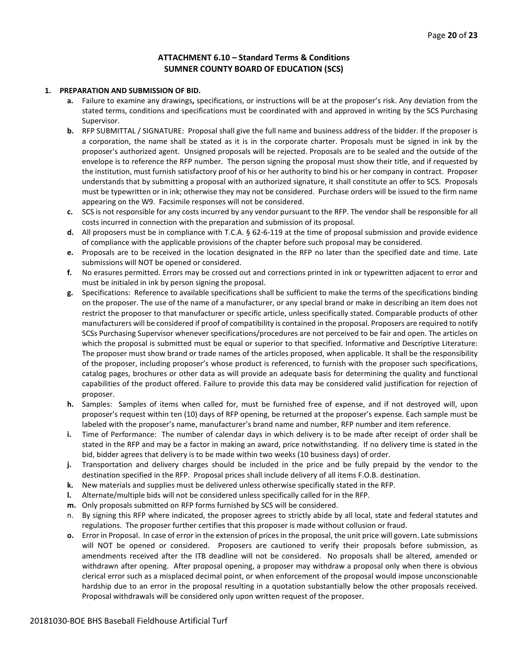# **ATTACHMENT 6.10 – Standard Terms & Conditions SUMNER COUNTY BOARD OF EDUCATION (SCS)**

#### **1. PREPARATION AND SUBMISSION OF BID.**

- **a.** Failure to examine any drawings**,** specifications, or instructions will be at the proposer's risk. Any deviation from the stated terms, conditions and specifications must be coordinated with and approved in writing by the SCS Purchasing Supervisor.
- **b.** RFP SUBMITTAL / SIGNATURE: Proposal shall give the full name and business address of the bidder. If the proposer is a corporation, the name shall be stated as it is in the corporate charter. Proposals must be signed in ink by the proposer's authorized agent. Unsigned proposals will be rejected. Proposals are to be sealed and the outside of the envelope is to reference the RFP number. The person signing the proposal must show their title, and if requested by the institution, must furnish satisfactory proof of his or her authority to bind his or her company in contract. Proposer understands that by submitting a proposal with an authorized signature, it shall constitute an offer to SCS. Proposals must be typewritten or in ink; otherwise they may not be considered. Purchase orders will be issued to the firm name appearing on the W9. Facsimile responses will not be considered.
- **c.** SCS is not responsible for any costs incurred by any vendor pursuant to the RFP. The vendor shall be responsible for all costs incurred in connection with the preparation and submission of its proposal.
- **d.** All proposers must be in compliance with T.C.A. § 62-6-119 at the time of proposal submission and provide evidence of compliance with the applicable provisions of the chapter before such proposal may be considered.
- **e.** Proposals are to be received in the location designated in the RFP no later than the specified date and time. Late submissions will NOT be opened or considered.
- **f.** No erasures permitted. Errors may be crossed out and corrections printed in ink or typewritten adjacent to error and must be initialed in ink by person signing the proposal.
- **g.** Specifications: Reference to available specifications shall be sufficient to make the terms of the specifications binding on the proposer. The use of the name of a manufacturer, or any special brand or make in describing an item does not restrict the proposer to that manufacturer or specific article, unless specifically stated. Comparable products of other manufacturers will be considered if proof of compatibility is contained in the proposal. Proposers are required to notify SCSs Purchasing Supervisor whenever specifications/procedures are not perceived to be fair and open. The articles on which the proposal is submitted must be equal or superior to that specified. Informative and Descriptive Literature: The proposer must show brand or trade names of the articles proposed, when applicable. It shall be the responsibility of the proposer, including proposer's whose product is referenced, to furnish with the proposer such specifications, catalog pages, brochures or other data as will provide an adequate basis for determining the quality and functional capabilities of the product offered. Failure to provide this data may be considered valid justification for rejection of proposer.
- **h.** Samples: Samples of items when called for, must be furnished free of expense, and if not destroyed will, upon proposer's request within ten (10) days of RFP opening, be returned at the proposer's expense. Each sample must be labeled with the proposer's name, manufacturer's brand name and number, RFP number and item reference.
- **i.** Time of Performance: The number of calendar days in which delivery is to be made after receipt of order shall be stated in the RFP and may be a factor in making an award, price notwithstanding. If no delivery time is stated in the bid, bidder agrees that delivery is to be made within two weeks (10 business days) of order.
- **j.** Transportation and delivery charges should be included in the price and be fully prepaid by the vendor to the destination specified in the RFP. Proposal prices shall include delivery of all items F.O.B. destination.
- **k.** New materials and supplies must be delivered unless otherwise specifically stated in the RFP.
- **l.** Alternate/multiple bids will not be considered unless specifically called for in the RFP.
- **m.** Only proposals submitted on RFP forms furnished by SCS will be considered.
- n. By signing this RFP where indicated, the proposer agrees to strictly abide by all local, state and federal statutes and regulations. The proposer further certifies that this proposer is made without collusion or fraud.
- **o.** Error in Proposal. In case of error in the extension of prices in the proposal, the unit price will govern. Late submissions will NOT be opened or considered. Proposers are cautioned to verify their proposals before submission, as amendments received after the ITB deadline will not be considered. No proposals shall be altered, amended or withdrawn after opening. After proposal opening, a proposer may withdraw a proposal only when there is obvious clerical error such as a misplaced decimal point, or when enforcement of the proposal would impose unconscionable hardship due to an error in the proposal resulting in a quotation substantially below the other proposals received. Proposal withdrawals will be considered only upon written request of the proposer.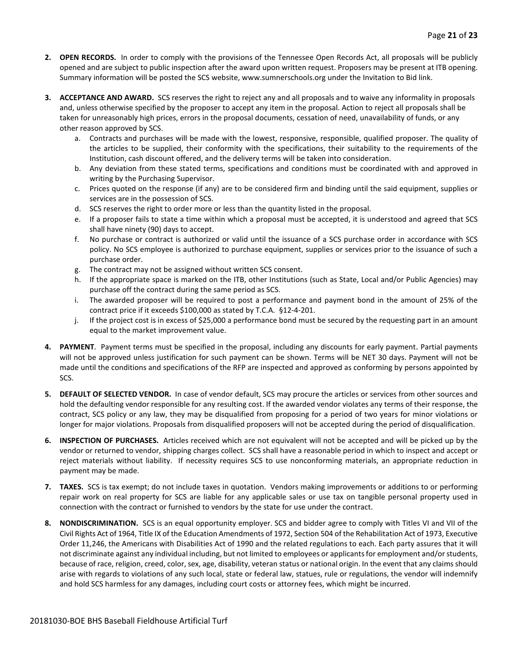- **2. OPEN RECORDS.** In order to comply with the provisions of the Tennessee Open Records Act, all proposals will be publicly opened and are subject to public inspection after the award upon written request. Proposers may be present at ITB opening. Summary information will be posted the SCS website, www.sumnerschools.org under the Invitation to Bid link.
- **3. ACCEPTANCE AND AWARD.** SCS reserves the right to reject any and all proposals and to waive any informality in proposals and, unless otherwise specified by the proposer to accept any item in the proposal. Action to reject all proposals shall be taken for unreasonably high prices, errors in the proposal documents, cessation of need, unavailability of funds, or any other reason approved by SCS.
	- a. Contracts and purchases will be made with the lowest, responsive, responsible, qualified proposer. The quality of the articles to be supplied, their conformity with the specifications, their suitability to the requirements of the Institution, cash discount offered, and the delivery terms will be taken into consideration.
	- b. Any deviation from these stated terms, specifications and conditions must be coordinated with and approved in writing by the Purchasing Supervisor.
	- c. Prices quoted on the response (if any) are to be considered firm and binding until the said equipment, supplies or services are in the possession of SCS.
	- d. SCS reserves the right to order more or less than the quantity listed in the proposal.
	- e. If a proposer fails to state a time within which a proposal must be accepted, it is understood and agreed that SCS shall have ninety (90) days to accept.
	- f. No purchase or contract is authorized or valid until the issuance of a SCS purchase order in accordance with SCS policy. No SCS employee is authorized to purchase equipment, supplies or services prior to the issuance of such a purchase order.
	- g. The contract may not be assigned without written SCS consent.
	- h. If the appropriate space is marked on the ITB, other Institutions (such as State, Local and/or Public Agencies) may purchase off the contract during the same period as SCS.
	- i. The awarded proposer will be required to post a performance and payment bond in the amount of 25% of the contract price if it exceeds \$100,000 as stated by T.C.A. §12-4-201.
	- j. If the project cost is in excess of \$25,000 a performance bond must be secured by the requesting part in an amount equal to the market improvement value.
- **4. PAYMENT**. Payment terms must be specified in the proposal, including any discounts for early payment. Partial payments will not be approved unless justification for such payment can be shown. Terms will be NET 30 days. Payment will not be made until the conditions and specifications of the RFP are inspected and approved as conforming by persons appointed by SCS.
- **5. DEFAULT OF SELECTED VENDOR.** In case of vendor default, SCS may procure the articles or services from other sources and hold the defaulting vendor responsible for any resulting cost. If the awarded vendor violates any terms of their response, the contract, SCS policy or any law, they may be disqualified from proposing for a period of two years for minor violations or longer for major violations. Proposals from disqualified proposers will not be accepted during the period of disqualification.
- **6. INSPECTION OF PURCHASES.** Articles received which are not equivalent will not be accepted and will be picked up by the vendor or returned to vendor, shipping charges collect. SCS shall have a reasonable period in which to inspect and accept or reject materials without liability. If necessity requires SCS to use nonconforming materials, an appropriate reduction in payment may be made.
- **7. TAXES.** SCS is tax exempt; do not include taxes in quotation. Vendors making improvements or additions to or performing repair work on real property for SCS are liable for any applicable sales or use tax on tangible personal property used in connection with the contract or furnished to vendors by the state for use under the contract.
- **8. NONDISCRIMINATION.** SCS is an equal opportunity employer. SCS and bidder agree to comply with Titles VI and VII of the Civil Rights Act of 1964, Title IX of the Education Amendments of 1972, Section 504 of the Rehabilitation Act of 1973, Executive Order 11,246, the Americans with Disabilities Act of 1990 and the related regulations to each. Each party assures that it will not discriminate against any individual including, but not limited to employees or applicants for employment and/or students, because of race, religion, creed, color, sex, age, disability, veteran status or national origin. In the event that any claims should arise with regards to violations of any such local, state or federal law, statues, rule or regulations, the vendor will indemnify and hold SCS harmless for any damages, including court costs or attorney fees, which might be incurred.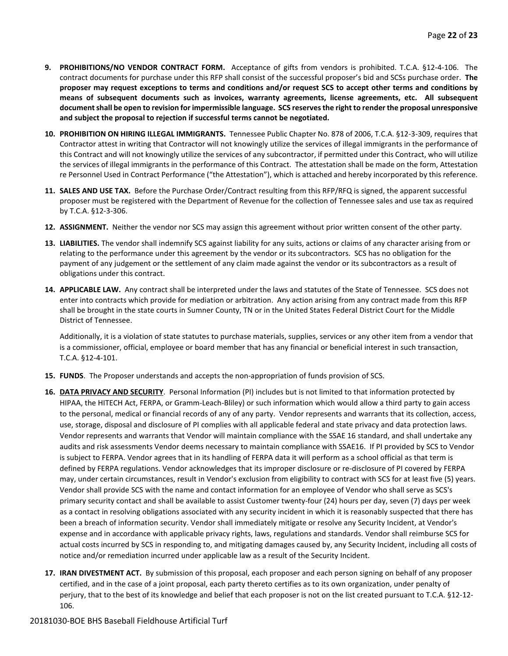- **9. PROHIBITIONS/NO VENDOR CONTRACT FORM.** Acceptance of gifts from vendors is prohibited. T.C.A. §12-4-106. The contract documents for purchase under this RFP shall consist of the successful proposer's bid and SCSs purchase order. **The proposer may request exceptions to terms and conditions and/or request SCS to accept other terms and conditions by means of subsequent documents such as invoices, warranty agreements, license agreements, etc. All subsequent document shall be open to revision for impermissible language. SCS reserves the right to render the proposal unresponsive and subject the proposal to rejection if successful terms cannot be negotiated.**
- **10. PROHIBITION ON HIRING ILLEGAL IMMIGRANTS.** Tennessee Public Chapter No. 878 of 2006, T.C.A. §12-3-309, requires that Contractor attest in writing that Contractor will not knowingly utilize the services of illegal immigrants in the performance of this Contract and will not knowingly utilize the services of any subcontractor, if permitted under this Contract, who will utilize the services of illegal immigrants in the performance of this Contract. The attestation shall be made on the form, Attestation re Personnel Used in Contract Performance ("the Attestation"), which is attached and hereby incorporated by this reference.
- **11. SALES AND USE TAX.** Before the Purchase Order/Contract resulting from this RFP/RFQ is signed, the apparent successful proposer must be registered with the Department of Revenue for the collection of Tennessee sales and use tax as required by T.C.A. §12-3-306.
- **12. ASSIGNMENT.** Neither the vendor nor SCS may assign this agreement without prior written consent of the other party.
- **13. LIABILITIES.** The vendor shall indemnify SCS against liability for any suits, actions or claims of any character arising from or relating to the performance under this agreement by the vendor or its subcontractors. SCS has no obligation for the payment of any judgement or the settlement of any claim made against the vendor or its subcontractors as a result of obligations under this contract.
- **14. APPLICABLE LAW.** Any contract shall be interpreted under the laws and statutes of the State of Tennessee. SCS does not enter into contracts which provide for mediation or arbitration. Any action arising from any contract made from this RFP shall be brought in the state courts in Sumner County, TN or in the United States Federal District Court for the Middle District of Tennessee.

Additionally, it is a violation of state statutes to purchase materials, supplies, services or any other item from a vendor that is a commissioner, official, employee or board member that has any financial or beneficial interest in such transaction, T.C.A. §12-4-101.

- **15. FUNDS**. The Proposer understands and accepts the non-appropriation of funds provision of SCS.
- **16. DATA PRIVACY AND SECURITY**. Personal Information (PI) includes but is not limited to that information protected by HIPAA, the HITECH Act, FERPA, or Gramm-Leach-Bliley) or such information which would allow a third party to gain access to the personal, medical or financial records of any of any party. Vendor represents and warrants that its collection, access, use, storage, disposal and disclosure of PI complies with all applicable federal and state privacy and data protection laws. Vendor represents and warrants that Vendor will maintain compliance with the SSAE 16 standard, and shall undertake any audits and risk assessments Vendor deems necessary to maintain compliance with SSAE16. If PI provided by SCS to Vendor is subject to FERPA. Vendor agrees that in its handling of FERPA data it will perform as a school official as that term is defined by FERPA regulations. Vendor acknowledges that its improper disclosure or re-disclosure of PI covered by FERPA may, under certain circumstances, result in Vendor's exclusion from eligibility to contract with SCS for at least five (5) years. Vendor shall provide SCS with the name and contact information for an employee of Vendor who shall serve as SCS's primary security contact and shall be available to assist Customer twenty-four (24) hours per day, seven (7) days per week as a contact in resolving obligations associated with any security incident in which it is reasonably suspected that there has been a breach of information security. Vendor shall immediately mitigate or resolve any Security Incident, at Vendor's expense and in accordance with applicable privacy rights, laws, regulations and standards. Vendor shall reimburse SCS for actual costs incurred by SCS in responding to, and mitigating damages caused by, any Security Incident, including all costs of notice and/or remediation incurred under applicable law as a result of the Security Incident.
- **17. IRAN DIVESTMENT ACT.** By submission of this proposal, each proposer and each person signing on behalf of any proposer certified, and in the case of a joint proposal, each party thereto certifies as to its own organization, under penalty of perjury, that to the best of its knowledge and belief that each proposer is not on the list created pursuant to T.C.A. §12-12- 106.

#### 20181030-BOE BHS Baseball Fieldhouse Artificial Turf